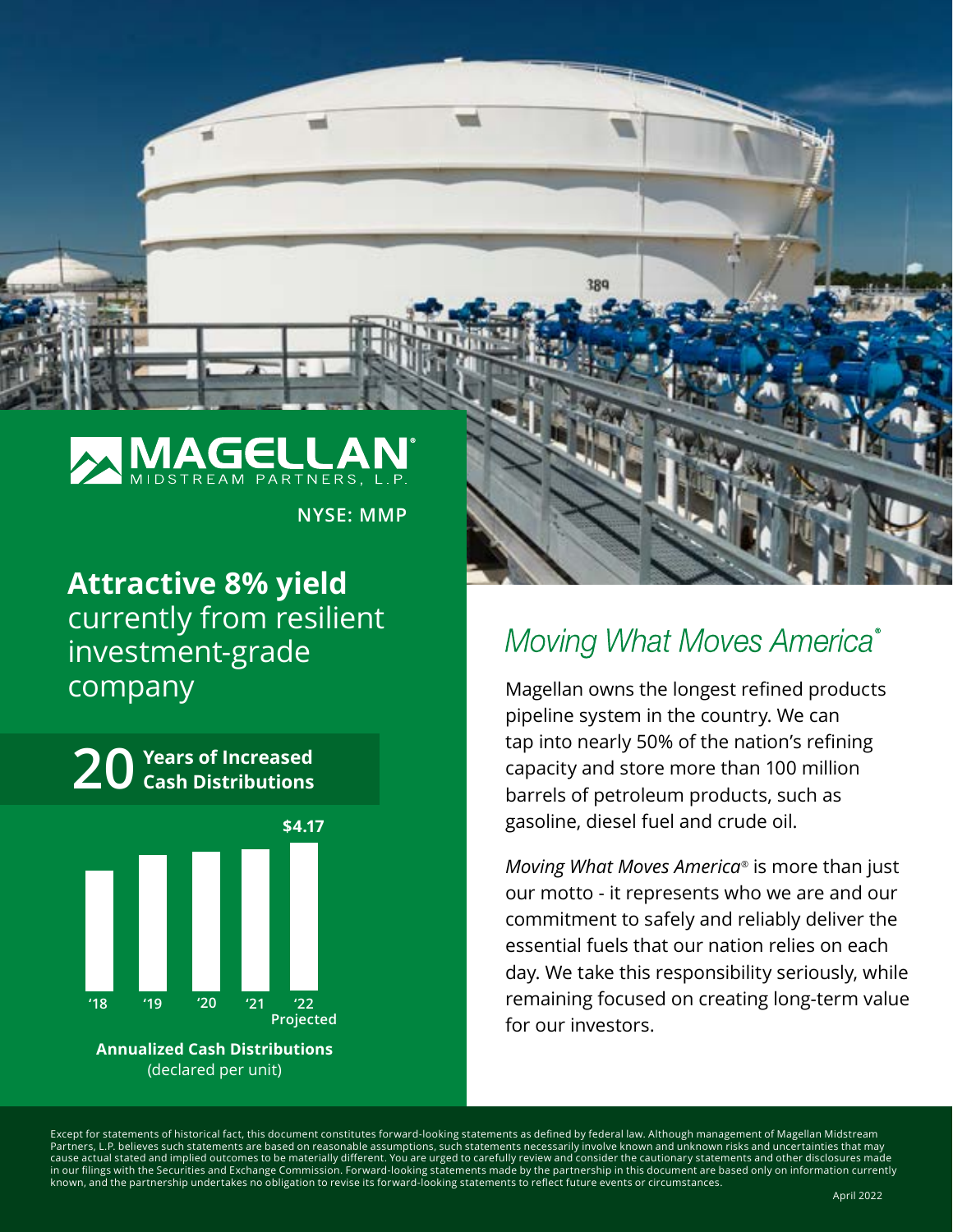

**NYSE: MMP**

## **Attractive 8% yield**  currently from resilient investment-grade company

**Cash Distributions 20 Years of Increased \$4.17** Ш **'18 '19 '20 '21 '22 ProjectedAnnualized Cash Distributions**  (declared per unit)

# Moving What Moves America®

Magellan owns the longest refined products pipeline system in the country. We can tap into nearly 50% of the nation's refining capacity and store more than 100 million barrels of petroleum products, such as gasoline, diesel fuel and crude oil.

*Moving What Moves America®* is more than just our motto - it represents who we are and our commitment to safely and reliably deliver the essential fuels that our nation relies on each day. We take this responsibility seriously, while remaining focused on creating long-term value for our investors.

Except for statements of historical fact, this document constitutes forward-looking statements as defined by federal law. Although management of Magellan Midstream Partners, L.P. believes such statements are based on reasonable assumptions, such statements necessarily involve known and unknown risks and uncertainties that may<br>cause actual stated and implied outcomes to be materially in our filings with the Securities and Exchange Commission. Forward-looking statements made by the partnership in this document are based only on information currently known, and the partnership undertakes no obligation to revise its forward-looking statements to reflect future events or circumstances.